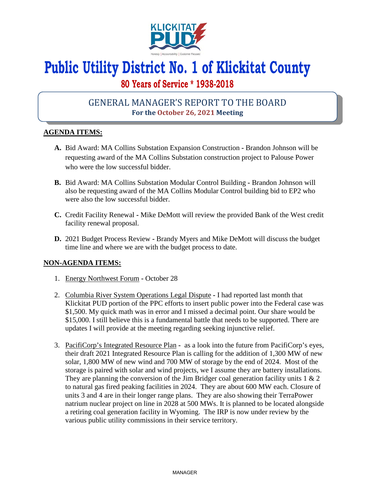

# **Public Utility District No. 1 of Klickitat County**

## **80 Years of Service \* 1938-2018**

## GENERAL MANAGER'S REPORT TO THE BOARD **For the October 26, 2021 Meeting**

### **AGENDA ITEMS:**

- **A.** Bid Award: MA Collins Substation Expansion Construction **-** Brandon Johnson will be requesting award of the MA Collins Substation construction project to Palouse Power who were the low successful bidder.
- **B.** Bid Award: MA Collins Substation Modular Control Building **-** Brandon Johnson will also be requesting award of the MA Collins Modular Control building bid to EP2 who were also the low successful bidder.
- **C.** Credit Facility Renewal **-** Mike DeMott will review the provided Bank of the West credit facility renewal proposal.
- **D.** 2021 Budget Process Review **-** Brandy Myers and Mike DeMott will discuss the budget time line and where we are with the budget process to date.

#### **NON-AGENDA ITEMS:**

- 1. Energy Northwest Forum **-** October 28
- 2. Columbia River System Operations Legal Dispute I had reported last month that Klickitat PUD portion of the PPC efforts to insert public power into the Federal case was \$1,500. My quick math was in error and I missed a decimal point. Our share would be \$15,000. I still believe this is a fundamental battle that needs to be supported. There are updates I will provide at the meeting regarding seeking injunctive relief.
- 3. PacifiCorp's Integrated Resource Plan **-** as a look into the future from PacifiCorp's eyes, their draft 2021 Integrated Resource Plan is calling for the addition of 1,300 MW of new solar, 1,800 MW of new wind and 700 MW of storage by the end of 2024. Most of the storage is paired with solar and wind projects, we I assume they are battery installations. They are planning the conversion of the Jim Bridger coal generation facility units  $1 \& 2$ to natural gas fired peaking facilities in 2024. They are about 600 MW each. Closure of units 3 and 4 are in their longer range plans. They are also showing their TerraPower natrium nuclear project on line in 2028 at 500 MWs. It is planned to be located alongside a retiring coal generation facility in Wyoming. The IRP is now under review by the various public utility commissions in their service territory.